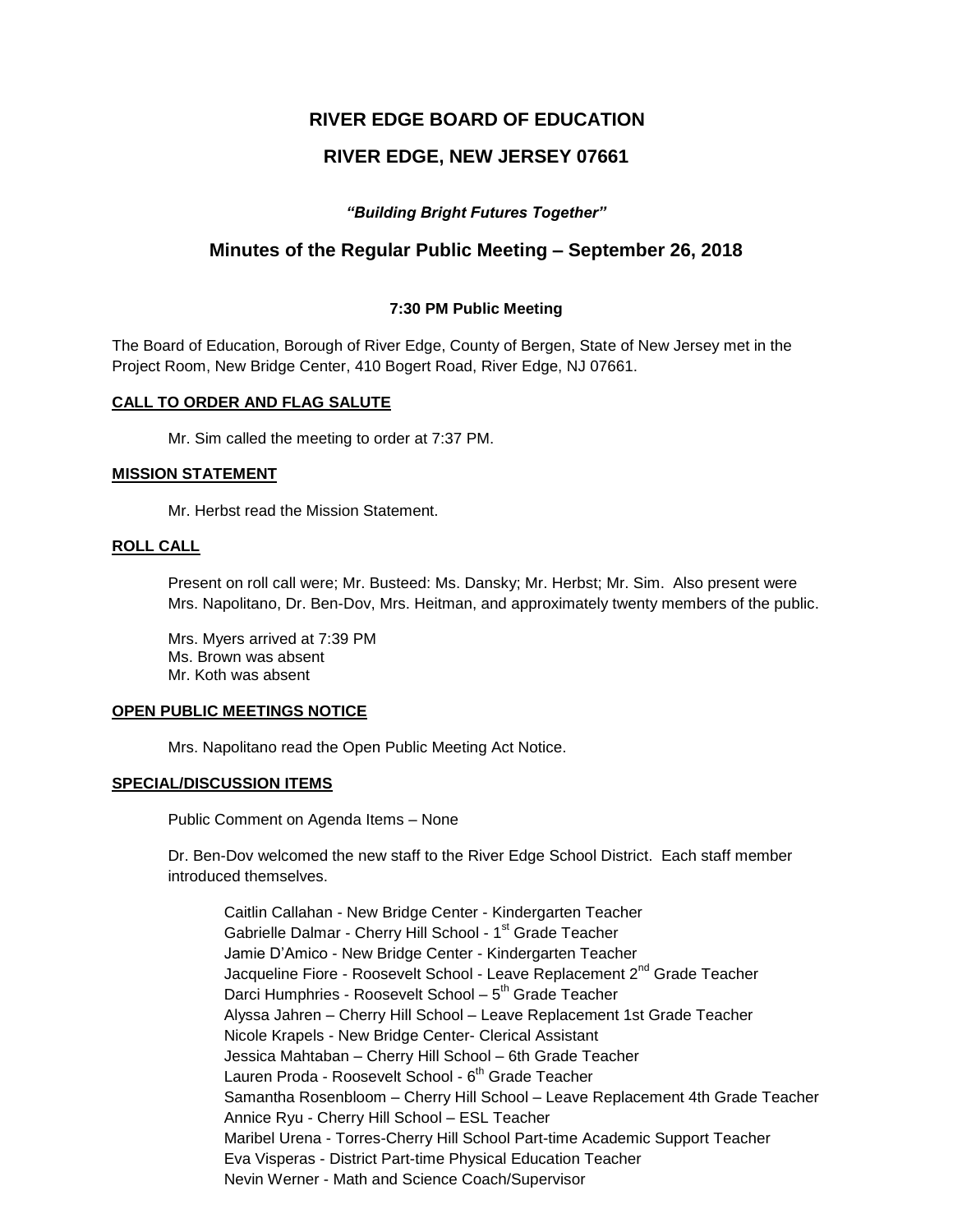# **RIVER EDGE BOARD OF EDUCATION**

# **RIVER EDGE, NEW JERSEY 07661**

## *"Building Bright Futures Together"*

## **Minutes of the Regular Public Meeting – September 26, 2018**

### **7:30 PM Public Meeting**

The Board of Education, Borough of River Edge, County of Bergen, State of New Jersey met in the Project Room, New Bridge Center, 410 Bogert Road, River Edge, NJ 07661.

### **CALL TO ORDER AND FLAG SALUTE**

Mr. Sim called the meeting to order at 7:37 PM.

#### **MISSION STATEMENT**

Mr. Herbst read the Mission Statement.

### **ROLL CALL**

Present on roll call were; Mr. Busteed: Ms. Dansky; Mr. Herbst; Mr. Sim. Also present were Mrs. Napolitano, Dr. Ben-Dov, Mrs. Heitman, and approximately twenty members of the public.

Mrs. Myers arrived at 7:39 PM Ms. Brown was absent Mr. Koth was absent

#### **OPEN PUBLIC MEETINGS NOTICE**

Mrs. Napolitano read the Open Public Meeting Act Notice.

### **SPECIAL/DISCUSSION ITEMS**

Public Comment on Agenda Items – None

Dr. Ben-Dov welcomed the new staff to the River Edge School District. Each staff member introduced themselves.

Caitlin Callahan - New Bridge Center - Kindergarten Teacher Gabrielle Dalmar - Cherry Hill School - 1<sup>st</sup> Grade Teacher Jamie D'Amico - New Bridge Center - Kindergarten Teacher Jacqueline Fiore - Roosevelt School - Leave Replacement 2<sup>nd</sup> Grade Teacher Darci Humphries - Roosevelt School – 5<sup>th</sup> Grade Teacher Alyssa Jahren – Cherry Hill School – Leave Replacement 1st Grade Teacher Nicole Krapels - New Bridge Center- Clerical Assistant Jessica Mahtaban – Cherry Hill School – 6th Grade Teacher Lauren Proda - Roosevelt School - 6<sup>th</sup> Grade Teacher Samantha Rosenbloom – Cherry Hill School – Leave Replacement 4th Grade Teacher Annice Ryu - Cherry Hill School – ESL Teacher Maribel Urena - Torres-Cherry Hill School Part-time Academic Support Teacher Eva Visperas - District Part-time Physical Education Teacher Nevin Werner - Math and Science Coach/Supervisor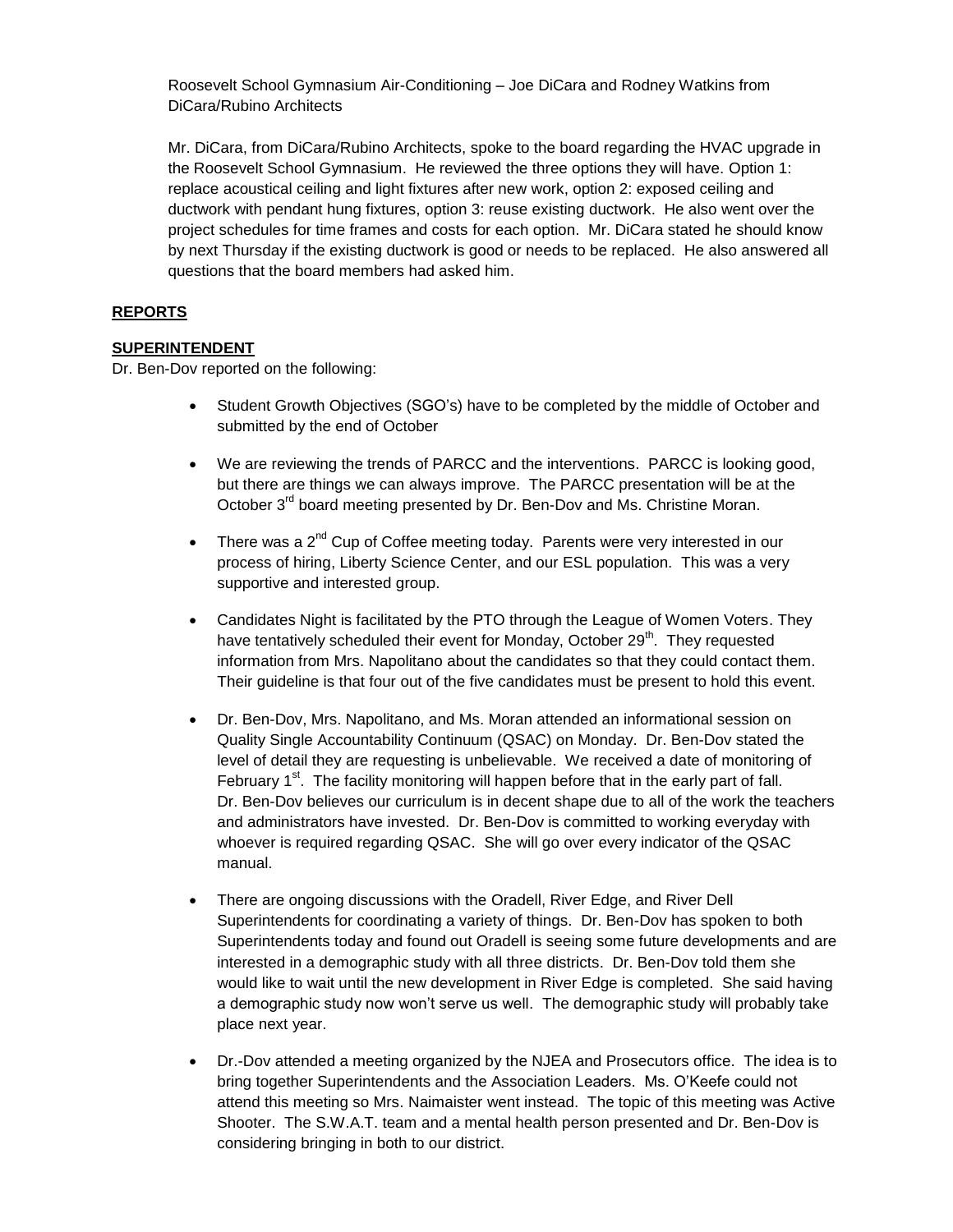Roosevelt School Gymnasium Air-Conditioning – Joe DiCara and Rodney Watkins from DiCara/Rubino Architects

Mr. DiCara, from DiCara/Rubino Architects, spoke to the board regarding the HVAC upgrade in the Roosevelt School Gymnasium. He reviewed the three options they will have. Option 1: replace acoustical ceiling and light fixtures after new work, option 2: exposed ceiling and ductwork with pendant hung fixtures, option 3: reuse existing ductwork. He also went over the project schedules for time frames and costs for each option. Mr. DiCara stated he should know by next Thursday if the existing ductwork is good or needs to be replaced. He also answered all questions that the board members had asked him.

## **REPORTS**

## **SUPERINTENDENT**

Dr. Ben-Dov reported on the following:

- Student Growth Objectives (SGO's) have to be completed by the middle of October and submitted by the end of October
- We are reviewing the trends of PARCC and the interventions. PARCC is looking good, but there are things we can always improve. The PARCC presentation will be at the October 3<sup>rd</sup> board meeting presented by Dr. Ben-Dov and Ms. Christine Moran.
- There was a  $2<sup>nd</sup>$  Cup of Coffee meeting today. Parents were very interested in our process of hiring, Liberty Science Center, and our ESL population. This was a very supportive and interested group.
- Candidates Night is facilitated by the PTO through the League of Women Voters. They have tentatively scheduled their event for Monday, October  $29<sup>th</sup>$ . They requested information from Mrs. Napolitano about the candidates so that they could contact them. Their guideline is that four out of the five candidates must be present to hold this event.
- Dr. Ben-Dov, Mrs. Napolitano, and Ms. Moran attended an informational session on Quality Single Accountability Continuum (QSAC) on Monday. Dr. Ben-Dov stated the level of detail they are requesting is unbelievable. We received a date of monitoring of February  $1<sup>st</sup>$ . The facility monitoring will happen before that in the early part of fall. Dr. Ben-Dov believes our curriculum is in decent shape due to all of the work the teachers and administrators have invested. Dr. Ben-Dov is committed to working everyday with whoever is required regarding QSAC. She will go over every indicator of the QSAC manual.
- There are ongoing discussions with the Oradell, River Edge, and River Dell Superintendents for coordinating a variety of things. Dr. Ben-Dov has spoken to both Superintendents today and found out Oradell is seeing some future developments and are interested in a demographic study with all three districts. Dr. Ben-Dov told them she would like to wait until the new development in River Edge is completed. She said having a demographic study now won't serve us well. The demographic study will probably take place next year.
- Dr.-Dov attended a meeting organized by the NJEA and Prosecutors office. The idea is to bring together Superintendents and the Association Leaders. Ms. O'Keefe could not attend this meeting so Mrs. Naimaister went instead. The topic of this meeting was Active Shooter. The S.W.A.T. team and a mental health person presented and Dr. Ben-Dov is considering bringing in both to our district.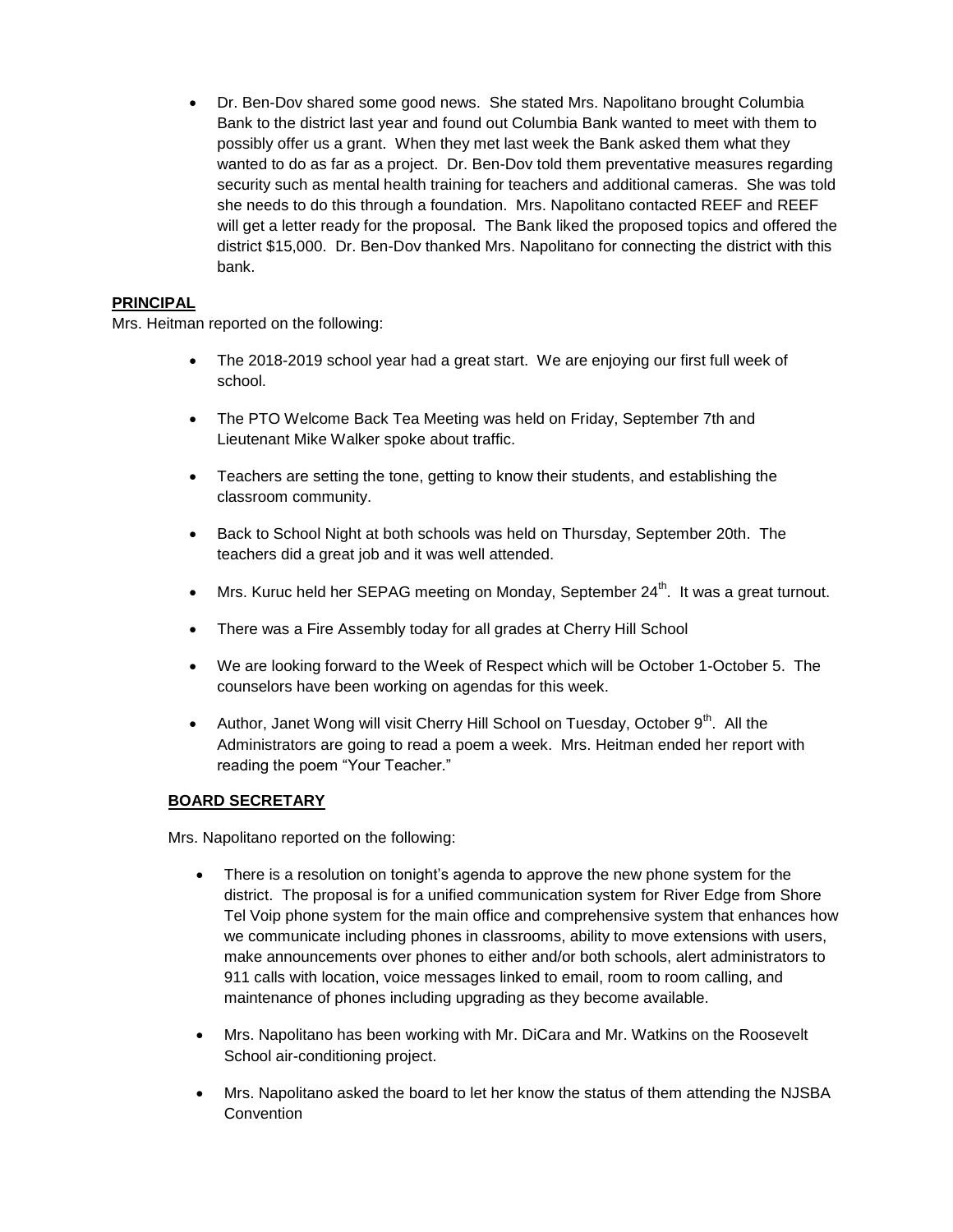Dr. Ben-Dov shared some good news. She stated Mrs. Napolitano brought Columbia Bank to the district last year and found out Columbia Bank wanted to meet with them to possibly offer us a grant. When they met last week the Bank asked them what they wanted to do as far as a project. Dr. Ben-Dov told them preventative measures regarding security such as mental health training for teachers and additional cameras. She was told she needs to do this through a foundation. Mrs. Napolitano contacted REEF and REEF will get a letter ready for the proposal. The Bank liked the proposed topics and offered the district \$15,000. Dr. Ben-Dov thanked Mrs. Napolitano for connecting the district with this bank.

## **PRINCIPAL**

Mrs. Heitman reported on the following:

- The 2018-2019 school year had a great start. We are enjoying our first full week of school.
- The PTO Welcome Back Tea Meeting was held on Friday, September 7th and Lieutenant Mike Walker spoke about traffic.
- Teachers are setting the tone, getting to know their students, and establishing the classroom community.
- Back to School Night at both schools was held on Thursday, September 20th. The teachers did a great job and it was well attended.
- Mrs. Kuruc held her SEPAG meeting on Monday, September 24<sup>th</sup>. It was a great turnout.
- There was a Fire Assembly today for all grades at Cherry Hill School
- We are looking forward to the Week of Respect which will be October 1-October 5. The counselors have been working on agendas for this week.
- Author, Janet Wong will visit Cherry Hill School on Tuesday, October  $9<sup>th</sup>$ . All the Administrators are going to read a poem a week. Mrs. Heitman ended her report with reading the poem "Your Teacher."

## **BOARD SECRETARY**

Mrs. Napolitano reported on the following:

- There is a resolution on tonight's agenda to approve the new phone system for the district. The proposal is for a unified communication system for River Edge from Shore Tel Voip phone system for the main office and comprehensive system that enhances how we communicate including phones in classrooms, ability to move extensions with users, make announcements over phones to either and/or both schools, alert administrators to 911 calls with location, voice messages linked to email, room to room calling, and maintenance of phones including upgrading as they become available.
- Mrs. Napolitano has been working with Mr. DiCara and Mr. Watkins on the Roosevelt School air-conditioning project.
- Mrs. Napolitano asked the board to let her know the status of them attending the NJSBA **Convention**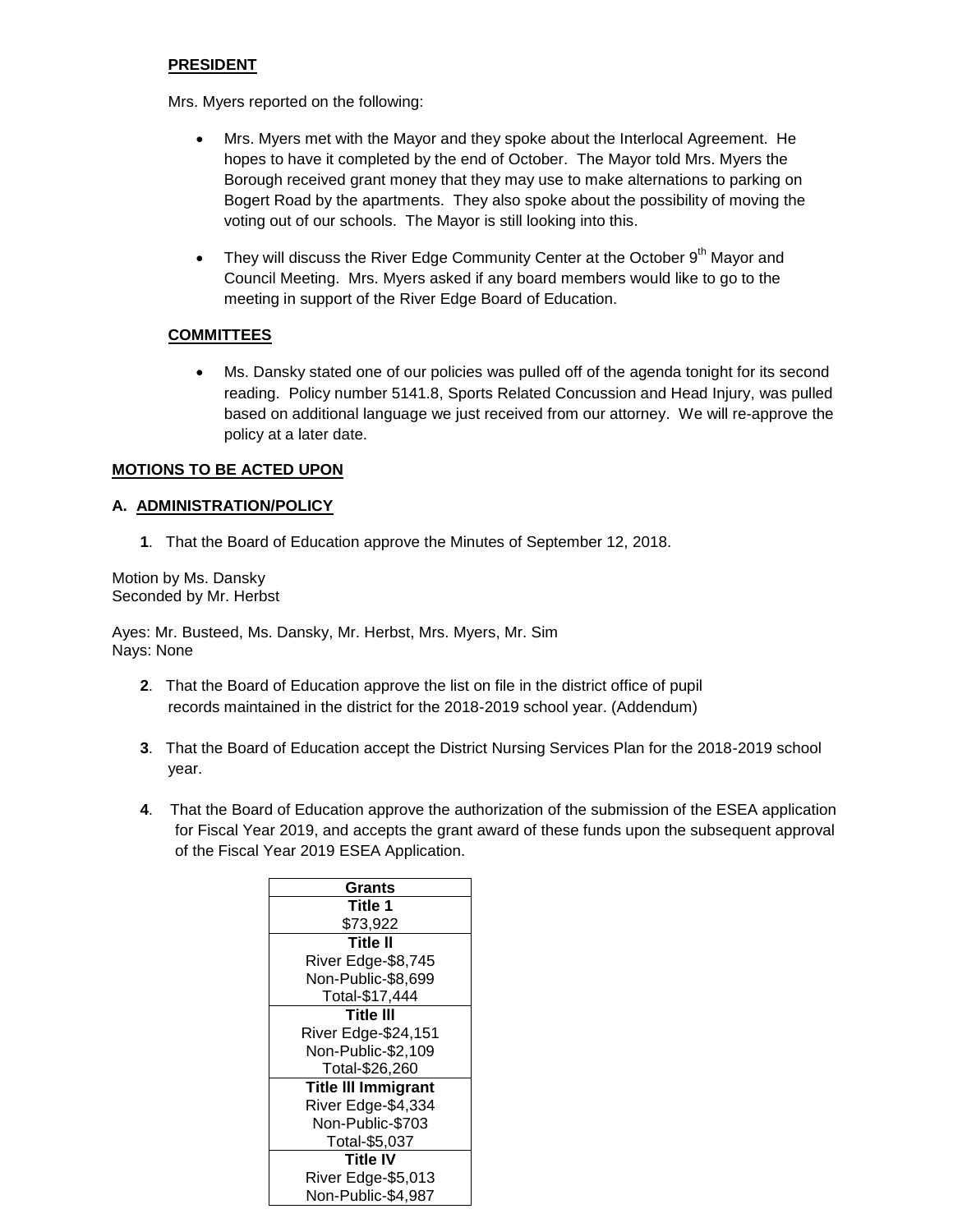## **PRESIDENT**

Mrs. Myers reported on the following:

- Mrs. Myers met with the Mayor and they spoke about the Interlocal Agreement. He hopes to have it completed by the end of October. The Mayor told Mrs. Myers the Borough received grant money that they may use to make alternations to parking on Bogert Road by the apartments. They also spoke about the possibility of moving the voting out of our schools. The Mayor is still looking into this.
- They will discuss the River Edge Community Center at the October  $9<sup>th</sup>$  Mayor and Council Meeting. Mrs. Myers asked if any board members would like to go to the meeting in support of the River Edge Board of Education.

## **COMMITTEES**

 Ms. Dansky stated one of our policies was pulled off of the agenda tonight for its second reading. Policy number 5141.8, Sports Related Concussion and Head Injury, was pulled based on additional language we just received from our attorney. We will re-approve the policy at a later date.

## **MOTIONS TO BE ACTED UPON**

## **A. ADMINISTRATION/POLICY**

**1**. That the Board of Education approve the Minutes of September 12, 2018.

Motion by Ms. Dansky Seconded by Mr. Herbst

Ayes: Mr. Busteed, Ms. Dansky, Mr. Herbst, Mrs. Myers, Mr. Sim Nays: None

- **2**. That the Board of Education approve the list on file in the district office of pupil records maintained in the district for the 2018-2019 school year. (Addendum)
- **3**. That the Board of Education accept the District Nursing Services Plan for the 2018-2019 school year.
- **4**. That the Board of Education approve the authorization of the submission of the ESEA application for Fiscal Year 2019, and accepts the grant award of these funds upon the subsequent approval of the Fiscal Year 2019 ESEA Application.

| Grants                     |  |  |
|----------------------------|--|--|
| Title 1                    |  |  |
| \$73,922                   |  |  |
| <b>Title II</b>            |  |  |
| River Edge-\$8,745         |  |  |
| Non-Public-\$8,699         |  |  |
| Total-\$17,444             |  |  |
| <b>Title III</b>           |  |  |
| River Edge-\$24,151        |  |  |
| Non-Public-\$2,109         |  |  |
| Total-\$26,260             |  |  |
| <b>Title III Immigrant</b> |  |  |
| River Edge-\$4,334         |  |  |
| Non-Public-\$703           |  |  |
| Total-\$5,037              |  |  |
| <b>Title IV</b>            |  |  |
| River Edge-\$5,013         |  |  |
| Non-Public-\$4,987         |  |  |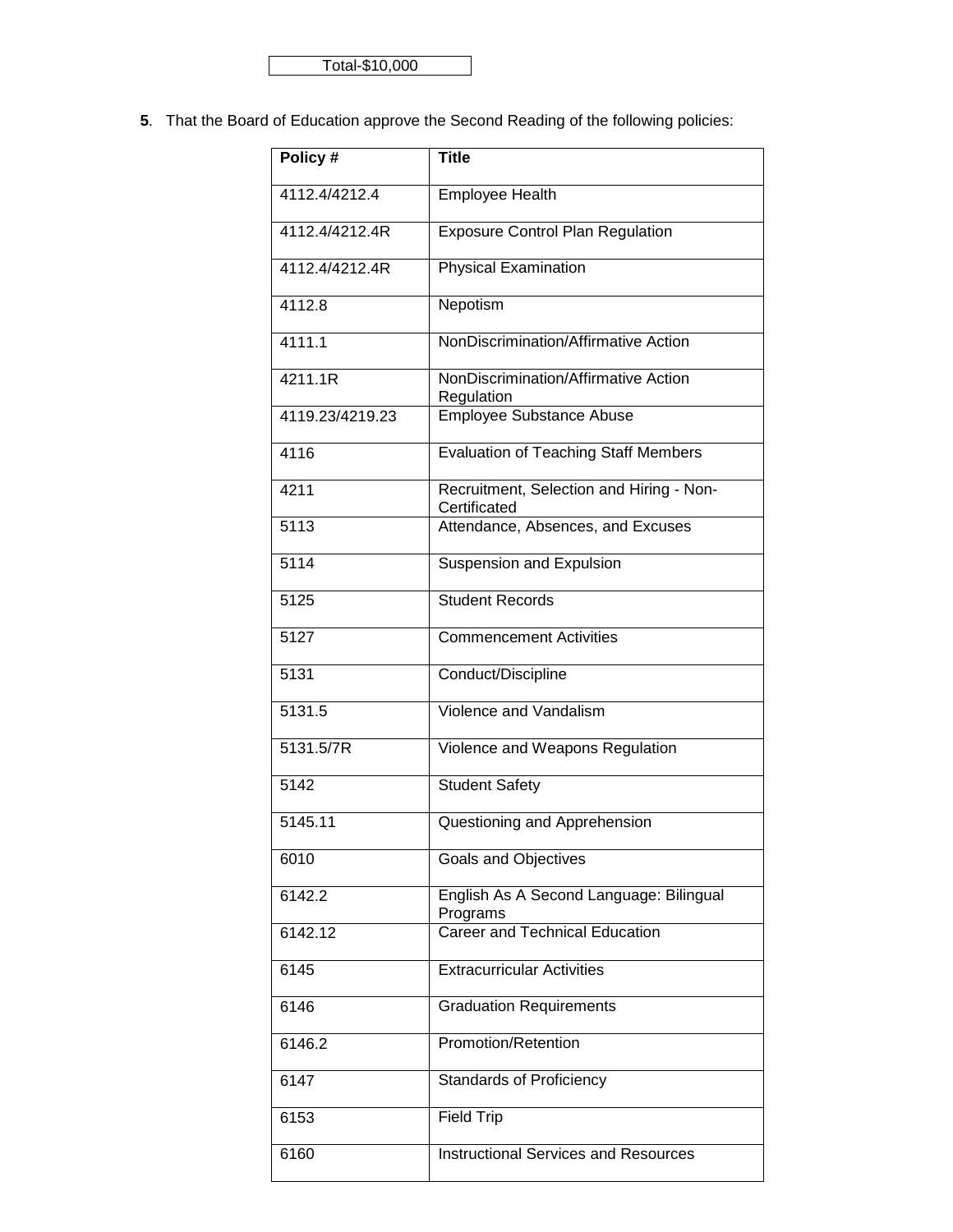Total-\$10,000

**5**. That the Board of Education approve the Second Reading of the following policies:

| Policy #          | <b>Title</b>                                             |  |  |
|-------------------|----------------------------------------------------------|--|--|
| 4112.4/4212.4     | <b>Employee Health</b>                                   |  |  |
| 4112.4/4212.4R    | <b>Exposure Control Plan Regulation</b>                  |  |  |
| 4112.4/4212.4R    | Physical Examination                                     |  |  |
| 4112.8            | Nepotism                                                 |  |  |
| 4111.1            | NonDiscrimination/Affirmative Action                     |  |  |
| 4211.1R           | NonDiscrimination/Affirmative Action<br>Regulation       |  |  |
| 4119.23/4219.23   | Employee Substance Abuse                                 |  |  |
| 4116              | <b>Evaluation of Teaching Staff Members</b>              |  |  |
| 4211              | Recruitment, Selection and Hiring - Non-<br>Certificated |  |  |
| 5113              | Attendance, Absences, and Excuses                        |  |  |
| $51\overline{14}$ | <b>Suspension and Expulsion</b>                          |  |  |
| 5125              | <b>Student Records</b>                                   |  |  |
| 5127              | <b>Commencement Activities</b>                           |  |  |
| 5131              | Conduct/Discipline                                       |  |  |
| 5131.5            | Violence and Vandalism                                   |  |  |
| 5131.5/7R         | Violence and Weapons Regulation                          |  |  |
| 5142              | <b>Student Safety</b>                                    |  |  |
| 5145.11           | Questioning and Apprehension                             |  |  |
| 6010              | <b>Goals and Objectives</b>                              |  |  |
| 6142.2            | English As A Second Language: Bilingual<br>Programs      |  |  |
| 6142.12           | Career and Technical Education                           |  |  |
| 6145              | <b>Extracurricular Activities</b>                        |  |  |
| 6146              | <b>Graduation Requirements</b>                           |  |  |
| 6146.2            | Promotion/Retention                                      |  |  |
| 6147              | <b>Standards of Proficiency</b>                          |  |  |
| 6153              | <b>Field Trip</b>                                        |  |  |
| 6160              | <b>Instructional Services and Resources</b>              |  |  |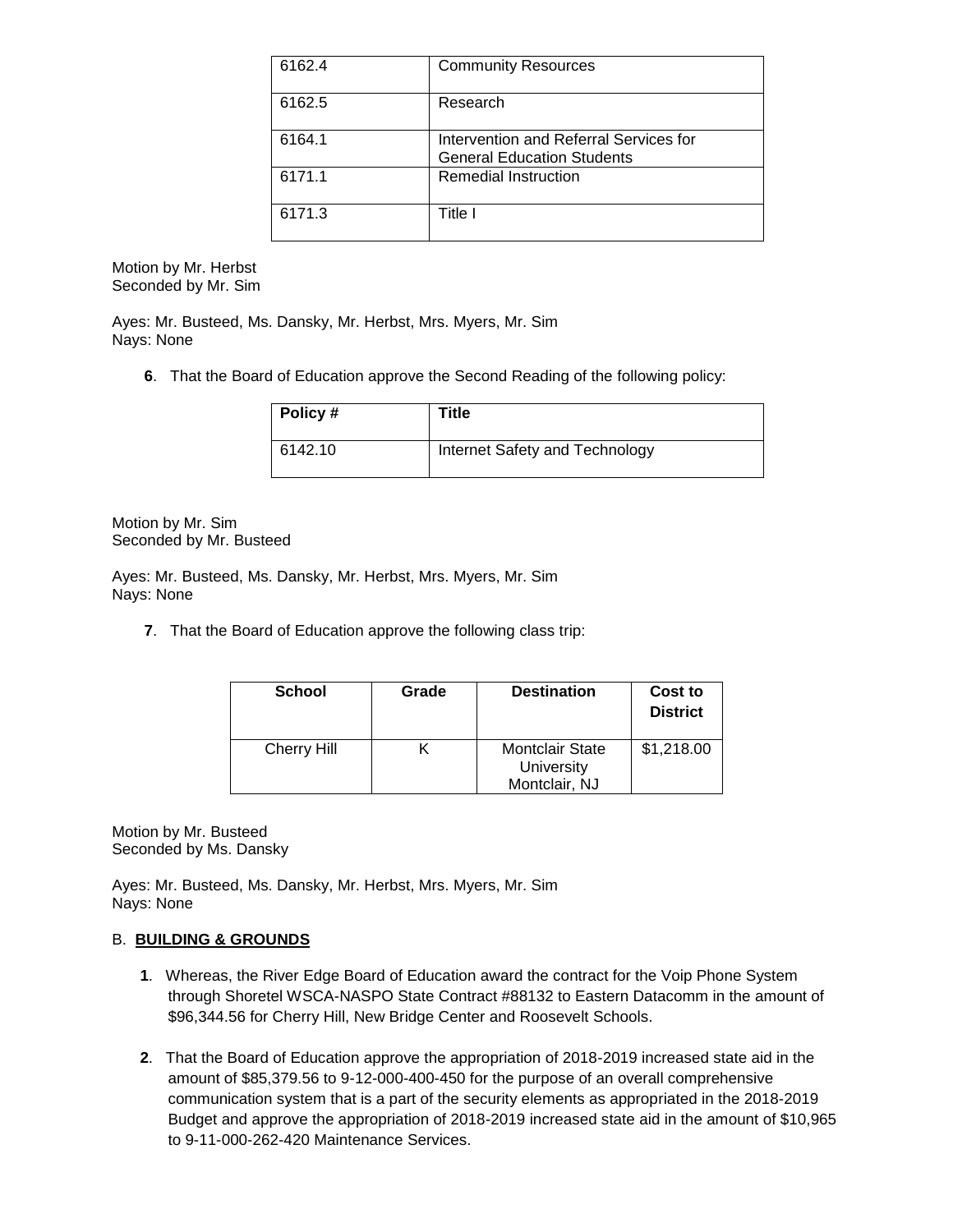| 6162.4 | <b>Community Resources</b>                                                  |
|--------|-----------------------------------------------------------------------------|
| 6162.5 | Research                                                                    |
| 6164.1 | Intervention and Referral Services for<br><b>General Education Students</b> |
| 6171.1 | Remedial Instruction                                                        |
| 6171.3 | Title l                                                                     |

Motion by Mr. Herbst Seconded by Mr. Sim

Ayes: Mr. Busteed, Ms. Dansky, Mr. Herbst, Mrs. Myers, Mr. Sim Nays: None

**6**. That the Board of Education approve the Second Reading of the following policy:

| Policy# | Title                          |
|---------|--------------------------------|
| 6142.10 | Internet Safety and Technology |

Motion by Mr. Sim Seconded by Mr. Busteed

Ayes: Mr. Busteed, Ms. Dansky, Mr. Herbst, Mrs. Myers, Mr. Sim Nays: None

**7**. That the Board of Education approve the following class trip:

| <b>School</b>      | Grade | <b>Destination</b>                                    | Cost to<br><b>District</b> |
|--------------------|-------|-------------------------------------------------------|----------------------------|
| <b>Cherry Hill</b> |       | <b>Montclair State</b><br>University<br>Montclair, NJ | \$1,218.00                 |

Motion by Mr. Busteed Seconded by Ms. Dansky

Ayes: Mr. Busteed, Ms. Dansky, Mr. Herbst, Mrs. Myers, Mr. Sim Nays: None

## B. **BUILDING & GROUNDS**

- **1**. Whereas, the River Edge Board of Education award the contract for the Voip Phone System through Shoretel WSCA-NASPO State Contract #88132 to Eastern Datacomm in the amount of \$96,344.56 for Cherry Hill, New Bridge Center and Roosevelt Schools.
- **2**. That the Board of Education approve the appropriation of 2018-2019 increased state aid in the amount of \$85,379.56 to 9-12-000-400-450 for the purpose of an overall comprehensive communication system that is a part of the security elements as appropriated in the 2018-2019 Budget and approve the appropriation of 2018-2019 increased state aid in the amount of \$10,965 to 9-11-000-262-420 Maintenance Services.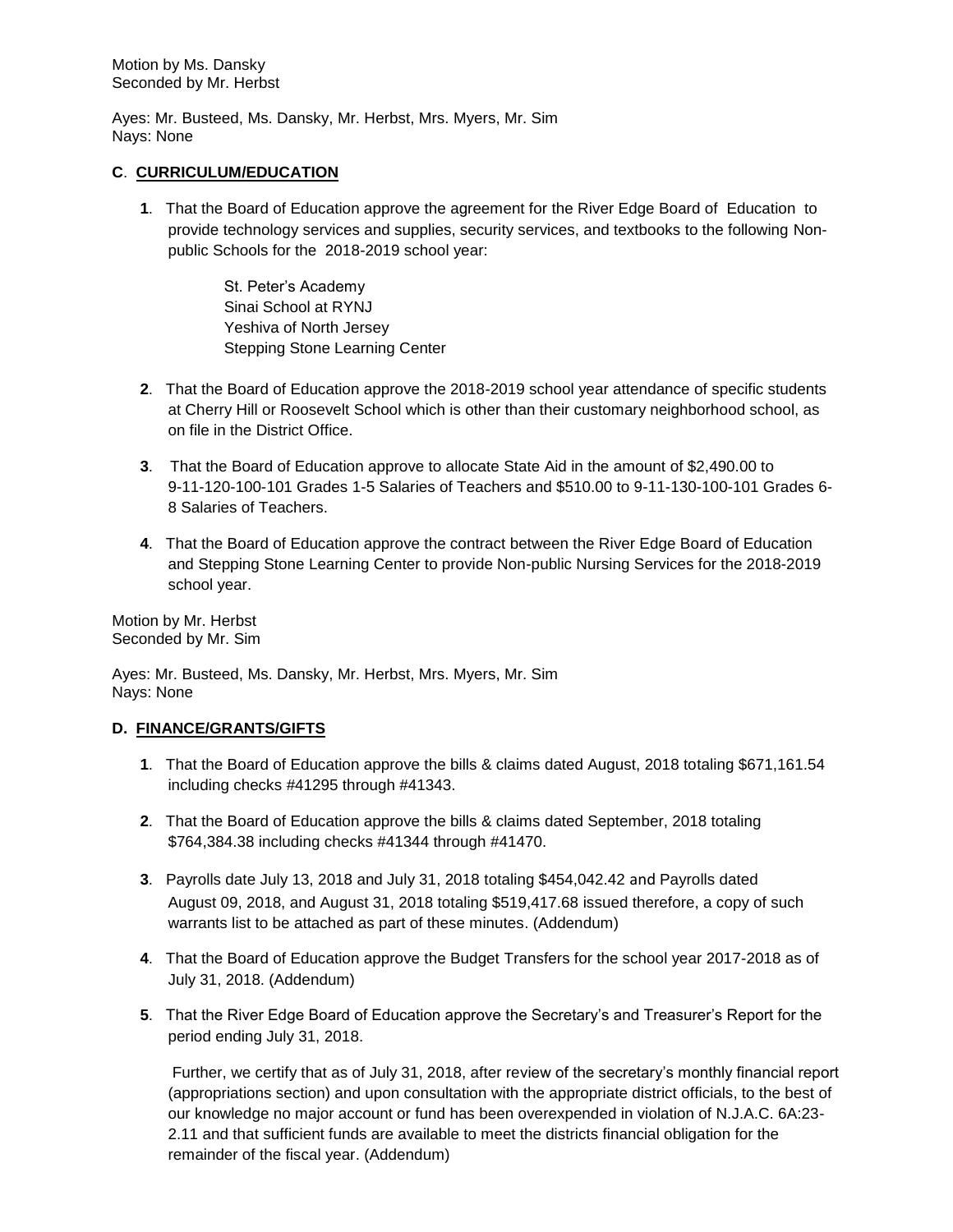Motion by Ms. Dansky Seconded by Mr. Herbst

Ayes: Mr. Busteed, Ms. Dansky, Mr. Herbst, Mrs. Myers, Mr. Sim Nays: None

### **C**. **CURRICULUM/EDUCATION**

**1**. That the Board of Education approve the agreement for the River Edge Board of Education to provide technology services and supplies, security services, and textbooks to the following Nonpublic Schools for the 2018-2019 school year:

> St. Peter's Academy Sinai School at RYNJ Yeshiva of North Jersey Stepping Stone Learning Center

- **2**. That the Board of Education approve the 2018-2019 school year attendance of specific students at Cherry Hill or Roosevelt School which is other than their customary neighborhood school, as on file in the District Office.
- **3**. That the Board of Education approve to allocate State Aid in the amount of \$2,490.00 to 9-11-120-100-101 Grades 1-5 Salaries of Teachers and \$510.00 to 9-11-130-100-101 Grades 6- 8 Salaries of Teachers.
- **4**. That the Board of Education approve the contract between the River Edge Board of Education and Stepping Stone Learning Center to provide Non-public Nursing Services for the 2018-2019 school year.

Motion by Mr. Herbst Seconded by Mr. Sim

Ayes: Mr. Busteed, Ms. Dansky, Mr. Herbst, Mrs. Myers, Mr. Sim Nays: None

### **D. FINANCE/GRANTS/GIFTS**

- **1**. That the Board of Education approve the bills & claims dated August, 2018 totaling \$671,161.54 including checks #41295 through #41343.
- **2**. That the Board of Education approve the bills & claims dated September, 2018 totaling \$764,384.38 including checks #41344 through #41470.
- **3**. Payrolls date July 13, 2018 and July 31, 2018 totaling \$454,042.42 and Payrolls dated August 09, 2018, and August 31, 2018 totaling \$519,417.68 issued therefore, a copy of such warrants list to be attached as part of these minutes. (Addendum)
- **4**. That the Board of Education approve the Budget Transfers for the school year 2017-2018 as of July 31, 2018. (Addendum)
- **5**. That the River Edge Board of Education approve the Secretary's and Treasurer's Report for the period ending July 31, 2018.

Further, we certify that as of July 31, 2018, after review of the secretary's monthly financial report (appropriations section) and upon consultation with the appropriate district officials, to the best of our knowledge no major account or fund has been overexpended in violation of N.J.A.C. 6A:23- 2.11 and that sufficient funds are available to meet the districts financial obligation for the remainder of the fiscal year. (Addendum)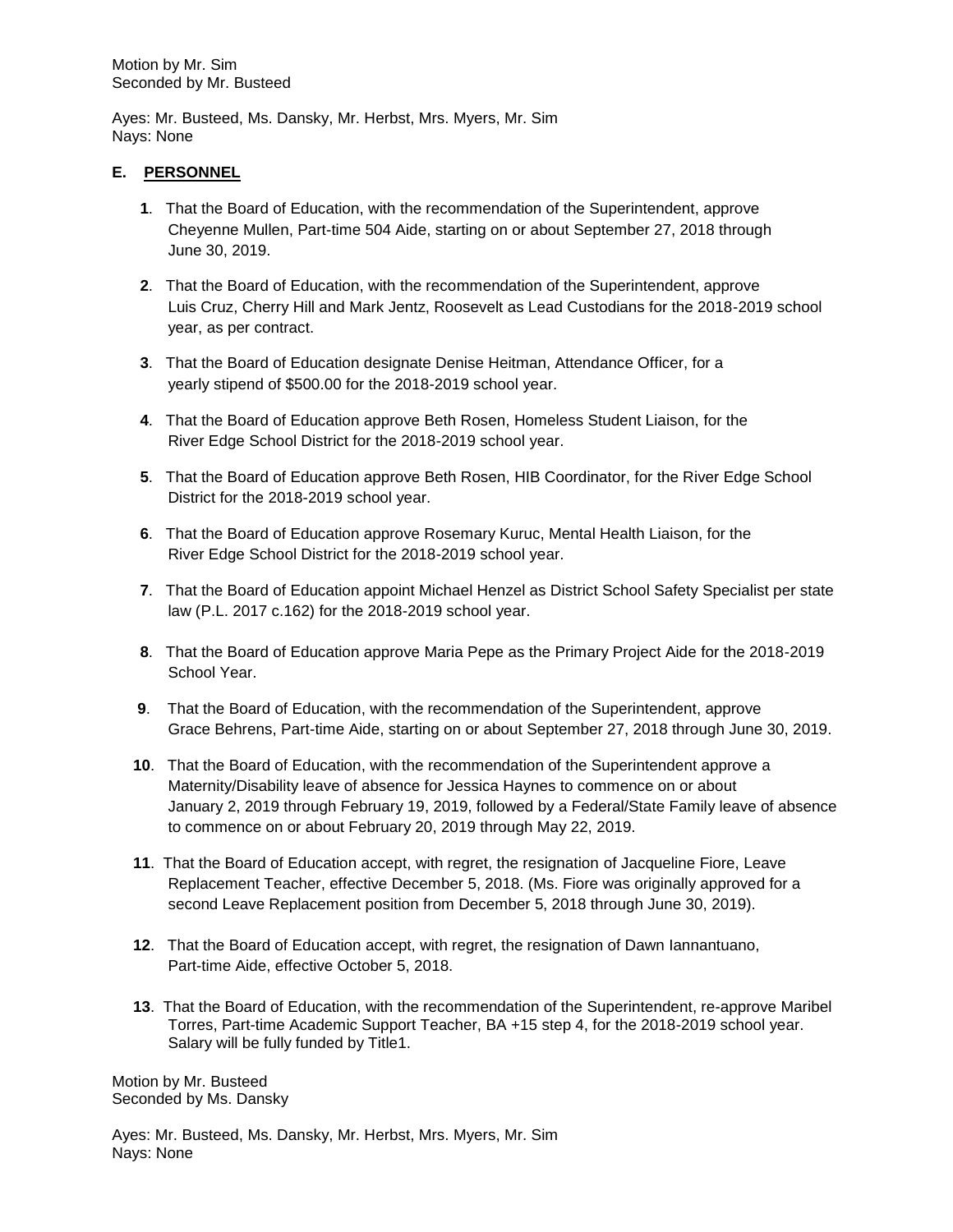Ayes: Mr. Busteed, Ms. Dansky, Mr. Herbst, Mrs. Myers, Mr. Sim Nays: None

## **E. PERSONNEL**

- **1**. That the Board of Education, with the recommendation of the Superintendent, approve Cheyenne Mullen, Part-time 504 Aide, starting on or about September 27, 2018 through June 30, 2019.
- **2**. That the Board of Education, with the recommendation of the Superintendent, approve Luis Cruz, Cherry Hill and Mark Jentz, Roosevelt as Lead Custodians for the 2018-2019 school year, as per contract.
- **3**. That the Board of Education designate Denise Heitman, Attendance Officer, for a yearly stipend of \$500.00 for the 2018-2019 school year.
- **4**. That the Board of Education approve Beth Rosen, Homeless Student Liaison, for the River Edge School District for the 2018-2019 school year.
- **5**. That the Board of Education approve Beth Rosen, HIB Coordinator, for the River Edge School District for the 2018-2019 school year.
- **6**. That the Board of Education approve Rosemary Kuruc, Mental Health Liaison, for the River Edge School District for the 2018-2019 school year.
- **7**. That the Board of Education appoint Michael Henzel as District School Safety Specialist per state law (P.L. 2017 c.162) for the 2018-2019 school year.
- **8**. That the Board of Education approve Maria Pepe as the Primary Project Aide for the 2018-2019 School Year.
- **9**. That the Board of Education, with the recommendation of the Superintendent, approve Grace Behrens, Part-time Aide, starting on or about September 27, 2018 through June 30, 2019.
- **10**. That the Board of Education, with the recommendation of the Superintendent approve a Maternity/Disability leave of absence for Jessica Haynes to commence on or about January 2, 2019 through February 19, 2019, followed by a Federal/State Family leave of absence to commence on or about February 20, 2019 through May 22, 2019.
- **11**. That the Board of Education accept, with regret, the resignation of Jacqueline Fiore, Leave Replacement Teacher, effective December 5, 2018. (Ms. Fiore was originally approved for a second Leave Replacement position from December 5, 2018 through June 30, 2019).
- **12**. That the Board of Education accept, with regret, the resignation of Dawn Iannantuano, Part-time Aide, effective October 5, 2018.
- **13**. That the Board of Education, with the recommendation of the Superintendent, re-approve Maribel Torres, Part-time Academic Support Teacher, BA +15 step 4, for the 2018-2019 school year. Salary will be fully funded by Title1.

Motion by Mr. Busteed Seconded by Ms. Dansky

Ayes: Mr. Busteed, Ms. Dansky, Mr. Herbst, Mrs. Myers, Mr. Sim Nays: None